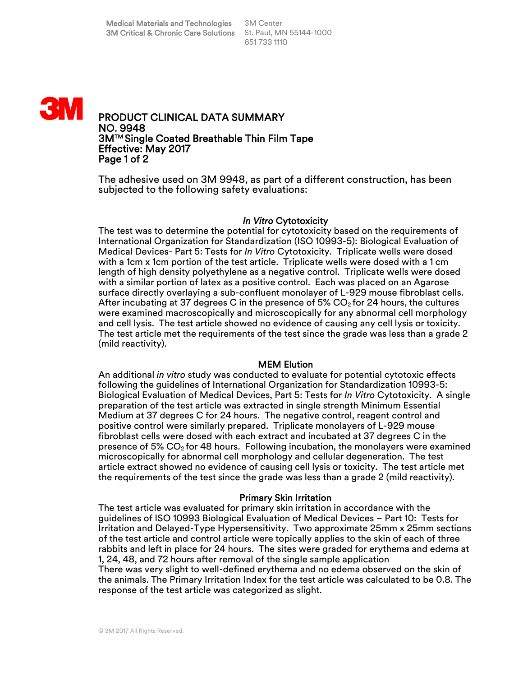

# PRODUCT CLINICAL DATA SUMMARY NO. 9948 3MTM Single Coated Breathable Thin Film Tape Effective: May 2017 Page 1 of 2

The adhesive used on 3M 9948, as part of a different construction, has been subjected to the following safety evaluations:

#### *In Vitro* Cytotoxicity

The test was to determine the potential for cytotoxicity based on the requirements of International Organization for Standardization (ISO 10993-5): Biological Evaluation of Medical Devices- Part 5: Tests for *In Vitro* Cytotoxicity. Triplicate wells were dosed with a 1cm x 1cm portion of the test article. Triplicate wells were dosed with a 1 cm length of high density polyethylene as a negative control. Triplicate wells were dosed with a similar portion of latex as a positive control. Each was placed on an Agarose surface directly overlaying a sub-confluent monolayer of L-929 mouse fibroblast cells. After incubating at 37 degrees C in the presence of 5%  $CO<sub>2</sub>$  for 24 hours, the cultures were examined macroscopically and microscopically for any abnormal cell morphology and cell lysis. The test article showed no evidence of causing any cell lysis or toxicity. The test article met the requirements of the test since the grade was less than a grade 2 (mild reactivity).

#### MEM Elution

An additional *in vitro* study was conducted to evaluate for potential cytotoxic effects following the guidelines of International Organization for Standardization 10993-5: Biological Evaluation of Medical Devices, Part 5: Tests for *In Vitro* Cytotoxicity. A single preparation of the test article was extracted in single strength Minimum Essential Medium at 37 degrees C for 24 hours. The negative control, reagent control and positive control were similarly prepared. Triplicate monolayers of L-929 mouse fibroblast cells were dosed with each extract and incubated at 37 degrees C in the presence of 5%  $CO<sub>2</sub>$  for 48 hours. Following incubation, the monolayers were examined microscopically for abnormal cell morphology and cellular degeneration. The test article extract showed no evidence of causing cell lysis or toxicity. The test article met the requirements of the test since the grade was less than a grade 2 (mild reactivity).

#### Primary Skin Irritation

The test article was evaluated for primary skin irritation in accordance with the guidelines of ISO 10993 Biological Evaluation of Medical Devices – Part 10: Tests for Irritation and Delayed-Type Hypersensitivity. Two approximate 25mm x 25mm sections of the test article and control article were topically applies to the skin of each of three rabbits and left in place for 24 hours. The sites were graded for erythema and edema at 1, 24, 48, and 72 hours after removal of the single sample application There was very slight to well-defined erythema and no edema observed on the skin of the animals. The Primary Irritation Index for the test article was calculated to be 0.8. The response of the test article was categorized as slight.